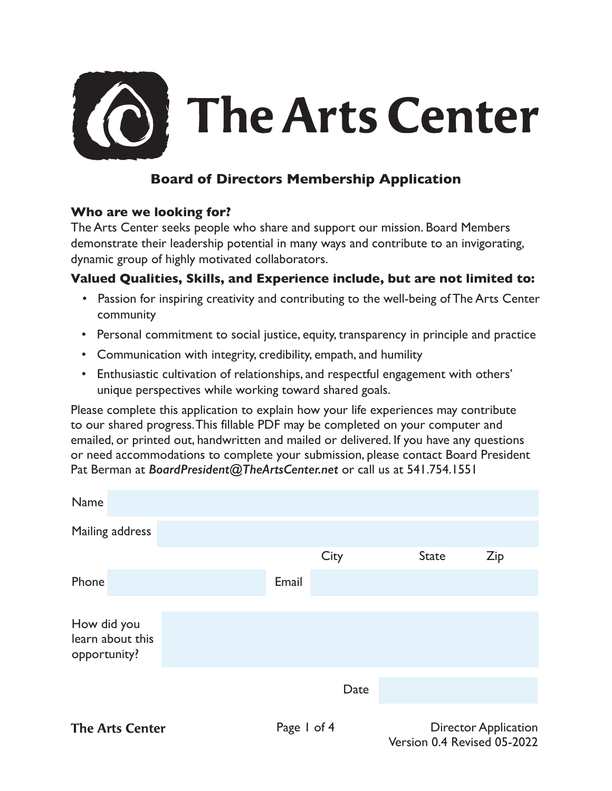

# **Board of Directors Membership Application**

#### **Who are we looking for?**

The Arts Center seeks people who share and support our mission. Board Members demonstrate their leadership potential in many ways and contribute to an invigorating, dynamic group of highly motivated collaborators.

### **Valued Qualities, Skills, and Experience include, but are not limited to:**

- Passion for inspiring creativity and contributing to the well-being of The Arts Center community
- Personal commitment to social justice, equity, transparency in principle and practice
- Communication with integrity, credibility, empath, and humility
- Enthusiastic cultivation of relationships, and respectful engagement with others' unique perspectives while working toward shared goals.

Please complete this application to explain how your life experiences may contribute to our shared progress. This fillable PDF may be completed on your computer and emailed, or printed out, handwritten and mailed or delivered. If you have any questions or need accommodations to complete your submission, please contact Board President Pat Berman at *BoardPresident@TheArtsCenter.net* or call us at 541.754.1551

| Name                                            |  |             |      |                             |     |  |
|-------------------------------------------------|--|-------------|------|-----------------------------|-----|--|
| Mailing address                                 |  |             |      |                             |     |  |
|                                                 |  |             | City | <b>State</b>                | Zip |  |
| Phone                                           |  | Email       |      |                             |     |  |
| How did you<br>learn about this<br>opportunity? |  |             |      |                             |     |  |
|                                                 |  |             | Date |                             |     |  |
| <b>The Arts Center</b>                          |  | Page 1 of 4 |      | <b>Director Application</b> |     |  |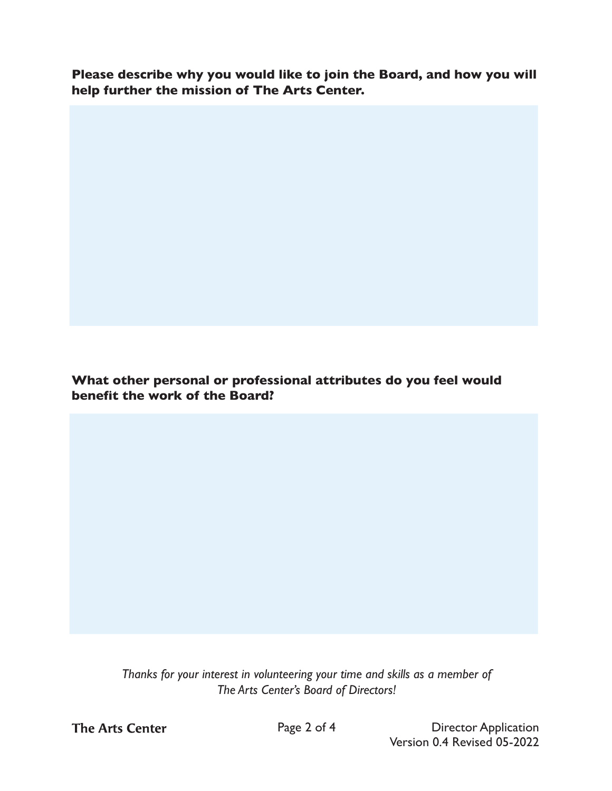**Please describe why you would like to join the Board, and how you will help further the mission of The Arts Center.**

**What other personal or professional attributes do you feel would benefit the work of the Board?**

> *Thanks for your interest in volunteering your time and skills as a member of The Arts Center's Board of Directors!*

**The Arts Center** 

Page 2 of 4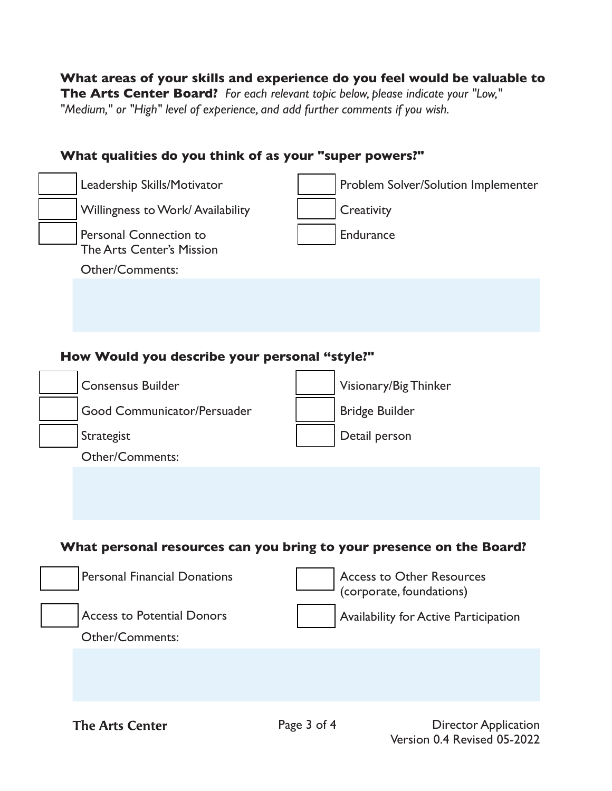### **What areas of your skills and experience do you feel would be valuable to The Arts Center Board?** *For each relevant topic below, please indicate your "Low," "Medium," or "High" level of experience, and add further comments if you wish.*

## **What qualities do you think of as your "super powers?"**

| Leadership Skills/Motivator                                | Problem Solver/Solution Implementer                                  |
|------------------------------------------------------------|----------------------------------------------------------------------|
| Willingness to Work/Availability                           | Creativity                                                           |
| Personal Connection to<br><b>The Arts Center's Mission</b> | Endurance                                                            |
| Other/Comments:                                            |                                                                      |
|                                                            |                                                                      |
| How Would you describe your personal "style?"              |                                                                      |
| <b>Consensus Builder</b>                                   | Visionary/Big Thinker                                                |
| Good Communicator/Persuader                                | <b>Bridge Builder</b>                                                |
| Strategist                                                 | Detail person                                                        |
| <b>Other/Comments:</b>                                     |                                                                      |
|                                                            | What personal resources can you bring to your presence on the Board? |
| <b>Personal Financial Donations</b>                        | <b>Access to Other Resources</b><br>(corporate, foundations)         |
| <b>Access to Potential Donors</b>                          | Availability for Active Participation                                |
| <b>Other/Comments:</b>                                     |                                                                      |
| <b>The Arts Center</b>                                     | Page 3 of 4<br><b>Director Application</b>                           |

Version 0.4 Revised 05-2022